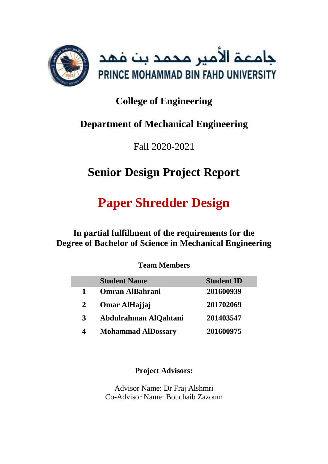

## **College of Engineering**

## **Department of Mechanical Engineering**

Fall 2020-2021

# **Senior Design Project Report**

# **Paper Shredder Design**

**In partial fulfillment of the requirements for the Degree of Bachelor of Science in Mechanical Engineering**

## **Team Members**

|   | <b>Student Name</b>       | <b>Student ID</b> |
|---|---------------------------|-------------------|
| 1 | Omran AlBahrani           | 201600939         |
| 2 | Omar AlHajjaj             | 201702069         |
| 3 | Abdulrahman AlQahtani     | 201403547         |
|   | <b>Mohammad AlDossary</b> | 201600975         |

**Project Advisors:**

Advisor Name: Dr Fraj Alshmri Co-Advisor Name: Bouchaib Zazoum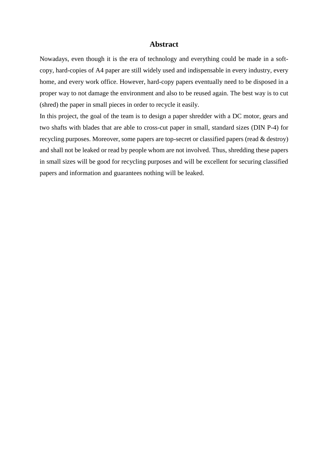#### **Abstract**

<span id="page-1-0"></span>Nowadays, even though it is the era of technology and everything could be made in a softcopy, hard-copies of A4 paper are still widely used and indispensable in every industry, every home, and every work office. However, hard-copy papers eventually need to be disposed in a proper way to not damage the environment and also to be reused again. The best way is to cut (shred) the paper in small pieces in order to recycle it easily.

In this project, the goal of the team is to design a paper shredder with a DC motor, gears and two shafts with blades that are able to cross-cut paper in small, standard sizes (DIN P-4) for recycling purposes. Moreover, some papers are top-secret or classified papers (read & destroy) and shall not be leaked or read by people whom are not involved. Thus, shredding these papers in small sizes will be good for recycling purposes and will be excellent for securing classified papers and information and guarantees nothing will be leaked.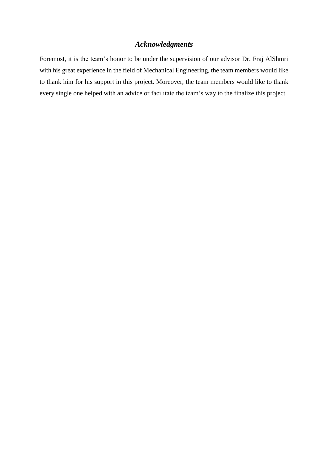## *Acknowledgments*

<span id="page-2-0"></span>Foremost, it is the team's honor to be under the supervision of our advisor Dr. Fraj AlShmri with his great experience in the field of Mechanical Engineering, the team members would like to thank him for his support in this project. Moreover, the team members would like to thank every single one helped with an advice or facilitate the team's way to the finalize this project.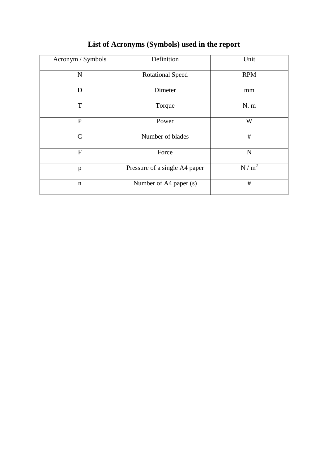<span id="page-3-0"></span>

| Acronym / Symbols | Definition                    | Unit             |
|-------------------|-------------------------------|------------------|
| ${\bf N}$         | <b>Rotational Speed</b>       | <b>RPM</b>       |
| D                 | Dimeter                       | mm               |
| T                 | Torque                        | $N.$ m           |
| $\mathbf{P}$      | Power                         | W                |
| $\mathcal{C}$     | Number of blades              | #                |
| $\overline{F}$    | Force                         | $\mathbf N$      |
| p                 | Pressure of a single A4 paper | N/m <sup>2</sup> |
| $\mathbf n$       | Number of A4 paper (s)        | $\#$             |

## **List of Acronyms (Symbols) used in the report**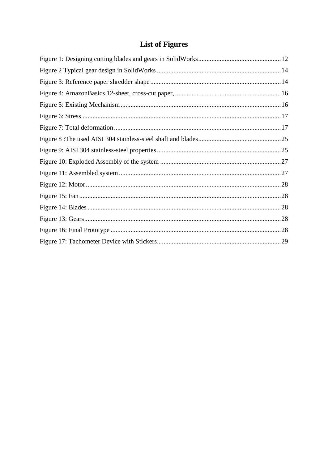## **List of Figures**

<span id="page-4-0"></span>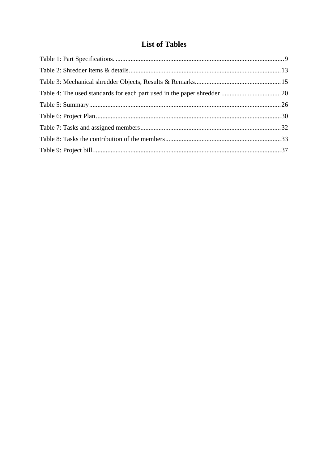## **List of Tables**

<span id="page-5-0"></span>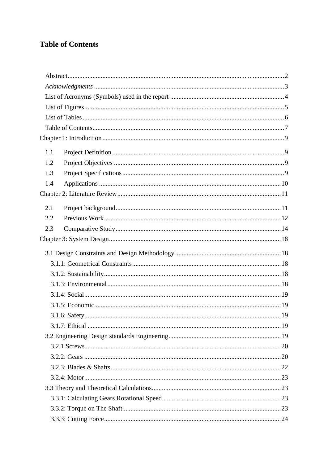## <span id="page-6-0"></span>**Table of Contents**

| 1.1 |  |
|-----|--|
| 1.2 |  |
| 1.3 |  |
| 1.4 |  |
|     |  |
| 2.1 |  |
| 2.2 |  |
| 2.3 |  |
|     |  |
|     |  |
|     |  |
|     |  |
|     |  |
|     |  |
|     |  |
|     |  |
|     |  |
|     |  |
|     |  |
|     |  |
|     |  |
|     |  |
|     |  |
|     |  |
|     |  |
|     |  |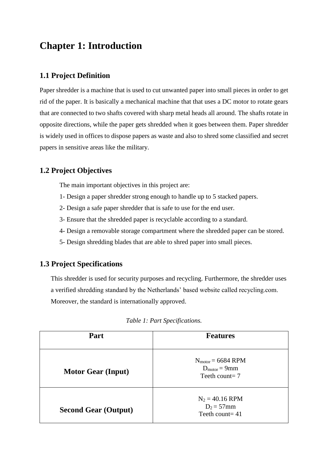## <span id="page-8-0"></span>**Chapter 1: Introduction**

### <span id="page-8-1"></span>**1.1 Project Definition**

Paper shredder is a machine that is used to cut unwanted paper into small pieces in order to get rid of the paper. It is basically a mechanical machine that that uses a DC motor to rotate gears that are connected to two shafts covered with sharp metal heads all around. The shafts rotate in opposite directions, while the paper gets shredded when it goes between them. Paper shredder is widely used in offices to dispose papers as waste and also to shred some classified and secret papers in sensitive areas like the military.

### <span id="page-8-2"></span>**1.2 Project Objectives**

The main important objectives in this project are:

- 1- Design a paper shredder strong enough to handle up to 5 stacked papers.
- 2- Design a safe paper shredder that is safe to use for the end user.
- 3- Ensure that the shredded paper is recyclable according to a standard.
- 4- Design a removable storage compartment where the shredded paper can be stored.
- 5- Design shredding blades that are able to shred paper into small pieces.

## <span id="page-8-3"></span>**1.3 Project Specifications**

This shredder is used for security purposes and recycling. Furthermore, the shredder uses a verified shredding standard by the Netherlands' based website called recycling.com. Moreover, the standard is internationally approved.

| Part                        | <b>Features</b>                                                                |
|-----------------------------|--------------------------------------------------------------------------------|
| <b>Motor Gear (Input)</b>   | $N_{\text{motor}} = 6684 \text{ RPM}$<br>$D_{motor} = 9mm$<br>Teeth count= $7$ |
| <b>Second Gear (Output)</b> | $N_2 = 40.16$ RPM<br>$D_2 = 57$ mm<br>Teeth count= $41$                        |

*Table 1: Part Specifications.*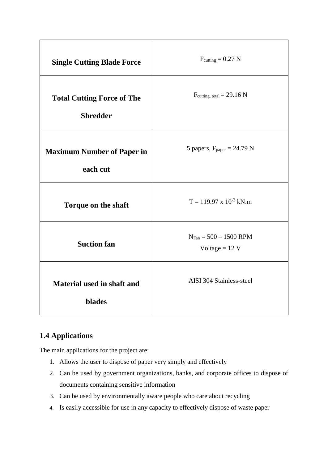| <b>Single Cutting Blade Force</b>                    | $F_{cutting} = 0.27 N$                         |
|------------------------------------------------------|------------------------------------------------|
| <b>Total Cutting Force of The</b><br><b>Shredder</b> | $F_{\text{cutting, total}} = 29.16 \text{ N}$  |
| <b>Maximum Number of Paper in</b><br>each cut        | 5 papers, $F_{\text{paper}} = 24.79$ N         |
| Torque on the shaft                                  | $T = 119.97 \times 10^{-3} \text{ kN.m}$       |
| <b>Suction fan</b>                                   | $N_{Fan} = 500 - 1500$ RPM<br>Voltage = $12$ V |
| Material used in shaft and<br><b>blades</b>          | AISI 304 Stainless-steel                       |

## <span id="page-9-0"></span>**1.4 Applications**

The main applications for the project are:

- 1. Allows the user to dispose of paper very simply and effectively
- 2. Can be used by government organizations, banks, and corporate offices to dispose of documents containing sensitive information
- 3. Can be used by environmentally aware people who care about recycling
- 4. Is easily accessible for use in any capacity to effectively dispose of waste paper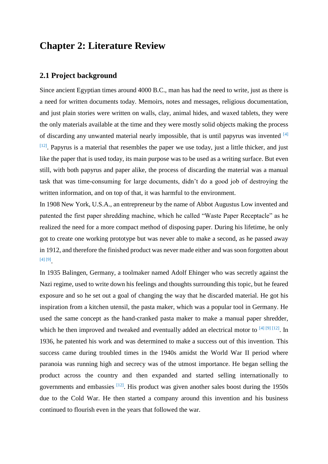## <span id="page-10-0"></span>**Chapter 2: Literature Review**

#### <span id="page-10-1"></span>**2.1 Project background**

Since ancient Egyptian times around 4000 B.C., man has had the need to write, just as there is a need for written documents today. Memoirs, notes and messages, religious documentation, and just plain stories were written on walls, clay, animal hides, and waxed tablets, they were the only materials available at the time and they were mostly solid objects making the process of discarding any unwanted material nearly impossible, that is until papyrus was invented  $[4]$  $[12]$ . Papyrus is a material that resembles the paper we use today, just a little thicker, and just like the paper that is used today, its main purpose was to be used as a writing surface. But even still, with both papyrus and paper alike, the process of discarding the material was a manual task that was time-consuming for large documents, didn't do a good job of destroying the written information, and on top of that, it was harmful to the environment.

In 1908 New York, U.S.A., an entrepreneur by the name of Abbot Augustus Low invented and patented the first paper shredding machine, which he called "Waste Paper Receptacle" as he realized the need for a more compact method of disposing paper. During his lifetime, he only got to create one working prototype but was never able to make a second, as he passed away in 1912, and therefore the finished product was never made either and was soon forgotten about [4] [9] .

In 1935 Balingen, Germany, a toolmaker named Adolf Ehinger who was secretly against the Nazi regime, used to write down his feelings and thoughts surrounding this topic, but he feared exposure and so he set out a goal of changing the way that he discarded material. He got his inspiration from a kitchen utensil, the pasta maker, which was a popular tool in Germany. He used the same concept as the hand-cranked pasta maker to make a manual paper shredder, which he then improved and tweaked and eventually added an electrical motor to <sup>[4] [9] [12]</sup>. In 1936, he patented his work and was determined to make a success out of this invention. This success came during troubled times in the 1940s amidst the World War II period where paranoia was running high and secrecy was of the utmost importance. He began selling the product across the country and then expanded and started selling internationally to governments and embassies  $[12]$ . His product was given another sales boost during the 1950s due to the Cold War. He then started a company around this invention and his business continued to flourish even in the years that followed the war.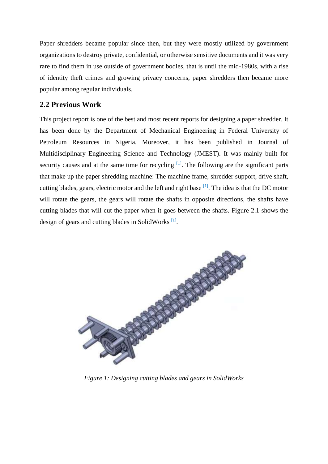Paper shredders became popular since then, but they were mostly utilized by government organizations to destroy private, confidential, or otherwise sensitive documents and it was very rare to find them in use outside of government bodies, that is until the mid-1980s, with a rise of identity theft crimes and growing privacy concerns, paper shredders then became more popular among regular individuals.

#### <span id="page-11-1"></span>**2.2 Previous Work**

This project report is one of the best and most recent reports for designing a paper shredder. It has been done by the Department of Mechanical Engineering in Federal University of Petroleum Resources in Nigeria. Moreover, it has been published in Journal of Multidisciplinary Engineering Science and Technology (JMEST). It was mainly built for security causes and at the same time for recycling  $[1]$ . The following are the significant parts that make up the paper shredding machine: The machine frame, shredder support, drive shaft, cutting blades, gears, electric motor and the left and right base <sup>[1]</sup>. The idea is that the DC motor will rotate the gears, the gears will rotate the shafts in opposite directions, the shafts have cutting blades that will cut the paper when it goes between the shafts. Figure 2.1 shows the design of gears and cutting blades in SolidWorks<sup>[1]</sup>.

<span id="page-11-0"></span>

*Figure 1: Designing cutting blades and gears in SolidWorks*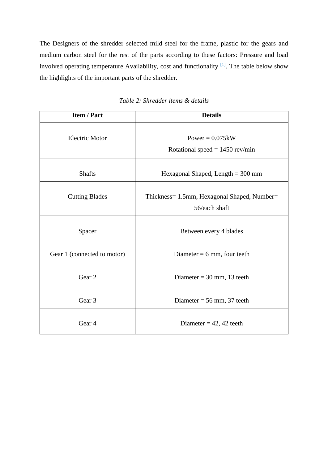The Designers of the shredder selected mild steel for the frame, plastic for the gears and medium carbon steel for the rest of the parts according to these factors: Pressure and load involved operating temperature Availability, cost and functionality <sup>[1]</sup>. The table below show the highlights of the important parts of the shredder.

| <b>Item / Part</b>          | <b>Details</b>                                               |
|-----------------------------|--------------------------------------------------------------|
| <b>Electric Motor</b>       | Power = $0.075kW$<br>Rotational speed = $1450$ rev/min       |
| <b>Shafts</b>               | Hexagonal Shaped, Length $=$ 300 mm                          |
| <b>Cutting Blades</b>       | Thickness= 1.5mm, Hexagonal Shaped, Number=<br>56/each shaft |
| Spacer                      | Between every 4 blades                                       |
| Gear 1 (connected to motor) | Diameter = $6 \text{ mm}$ , four teeth                       |
| Gear 2                      | Diameter = $30$ mm, 13 teeth                                 |
| Gear <sub>3</sub>           | Diameter = $56 \text{ mm}$ , 37 teeth                        |
| Gear 4                      | Diameter = $42, 42$ teeth                                    |

*Table 2: Shredder items & details*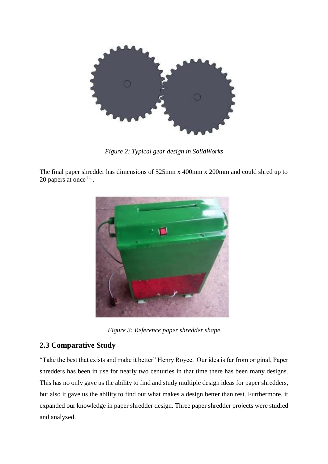

*Figure 2: Typical gear design in SolidWorks*

<span id="page-13-0"></span>The final paper shredder has dimensions of 525mm x 400mm x 200mm and could shred up to 20 papers at once  $^{[1]}$ .



*Figure 3: Reference paper shredder shape*

## <span id="page-13-2"></span><span id="page-13-1"></span>**2.3 Comparative Study**

"Take the best that exists and make it better" Henry Royce. Our idea is far from original, Paper shredders has been in use for nearly two centuries in that time there has been many designs. This has no only gave us the ability to find and study multiple design ideas for paper shredders, but also it gave us the ability to find out what makes a design better than rest. Furthermore, it expanded our knowledge in paper shredder design. Three paper shredder projects were studied and analyzed.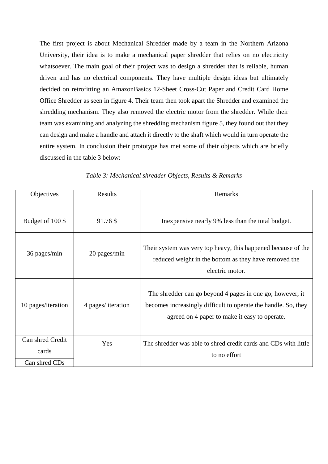The first project is about Mechanical Shredder made by a team in the Northern Arizona University, their idea is to make a mechanical paper shredder that relies on no electricity whatsoever. The main goal of their project was to design a shredder that is reliable, human driven and has no electrical components. They have multiple design ideas but ultimately decided on retrofitting an AmazonBasics 12-Sheet Cross-Cut Paper and Credit Card Home Office Shredder as seen in figure 4. Their team then took apart the Shredder and examined the shredding mechanism. They also removed the electric motor from the shredder. While their team was examining and analyzing the shredding mechanism figure 5, they found out that they can design and make a handle and attach it directly to the shaft which would in turn operate the entire system. In conclusion their prototype has met some of their objects which are briefly discussed in the table 3 below:

| Objectives                                 | Results            | Remarks                                                                                                                                                                      |
|--------------------------------------------|--------------------|------------------------------------------------------------------------------------------------------------------------------------------------------------------------------|
| Budget of 100 \$                           | 91.76 \$           | In expensive nearly 9% less than the total budget.                                                                                                                           |
| 36 pages/min                               | 20 pages/min       | Their system was very top heavy, this happened because of the<br>reduced weight in the bottom as they have removed the<br>electric motor.                                    |
| 10 pages/iteration                         | 4 pages/ iteration | The shredder can go beyond 4 pages in one go; however, it<br>becomes increasingly difficult to operate the handle. So, they<br>agreed on 4 paper to make it easy to operate. |
| Can shred Credit<br>cards<br>Can shred CDs | Yes                | The shredder was able to shred credit cards and CDs with little<br>to no effort                                                                                              |

| Table 3: Mechanical shredder Objects, Results & Remarks |  |  |
|---------------------------------------------------------|--|--|
|---------------------------------------------------------|--|--|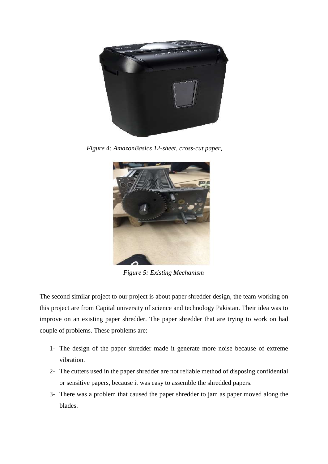

*Figure 4: AmazonBasics 12-sheet, cross-cut paper,*



*Figure 5: Existing Mechanism*

The second similar project to our project is about paper shredder design, the team working on this project are from Capital university of science and technology Pakistan. Their idea was to improve on an existing paper shredder. The paper shredder that are trying to work on had couple of problems. These problems are:

- 1- The design of the paper shredder made it generate more noise because of extreme vibration.
- 2- The cutters used in the paper shredder are not reliable method of disposing confidential or sensitive papers, because it was easy to assemble the shredded papers.
- 3- There was a problem that caused the paper shredder to jam as paper moved along the blades.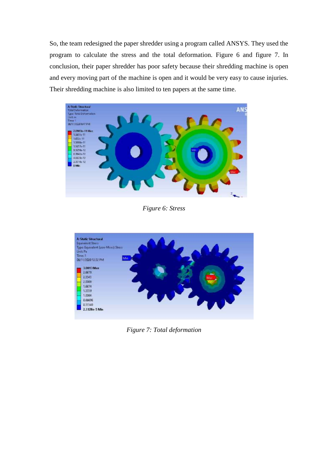So, the team redesigned the paper shredder using a program called ANSYS. They used the program to calculate the stress and the total deformation. Figure 6 and figure 7. In conclusion, their paper shredder has poor safety because their shredding machine is open and every moving part of the machine is open and it would be very easy to cause injuries. Their shredding machine is also limited to ten papers at the same time.



*Figure 6: Stress*

<span id="page-16-0"></span>

<span id="page-16-1"></span>*Figure 7: Total deformation*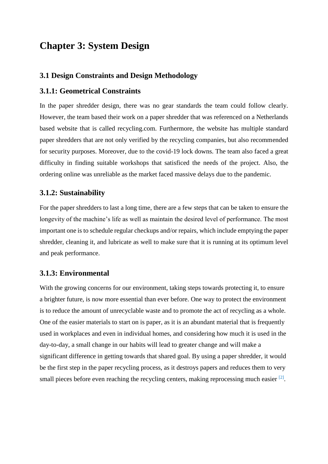## <span id="page-17-0"></span>**Chapter 3: System Design**

#### <span id="page-17-1"></span>**3.1 Design Constraints and Design Methodology**

#### <span id="page-17-2"></span>**3.1.1: Geometrical Constraints**

In the paper shredder design, there was no gear standards the team could follow clearly. However, the team based their work on a paper shredder that was referenced on a Netherlands based website that is called recycling.com. Furthermore, the website has multiple standard paper shredders that are not only verified by the recycling companies, but also recommended for security purposes. Moreover, due to the covid-19 lock downs. The team also faced a great difficulty in finding suitable workshops that satisficed the needs of the project. Also, the ordering online was unreliable as the market faced massive delays due to the pandemic.

#### <span id="page-17-3"></span>**3.1.2: Sustainability**

For the paper shredders to last a long time, there are a few steps that can be taken to ensure the longevity of the machine's life as well as maintain the desired level of performance. The most important one is to schedule regular checkups and/or repairs, which include emptying the paper shredder, cleaning it, and lubricate as well to make sure that it is running at its optimum level and peak performance.

#### <span id="page-17-4"></span>**3.1.3: Environmental**

With the growing concerns for our environment, taking steps towards protecting it, to ensure a brighter future, is now more essential than ever before. One way to protect the environment is to reduce the amount of unrecyclable waste and to promote the act of recycling as a whole. One of the easier materials to start on is paper, as it is an abundant material that is frequently used in workplaces and even in individual homes, and considering how much it is used in the day-to-day, a small change in our habits will lead to greater change and will make a significant difference in getting towards that shared goal. By using a paper shredder, it would be the first step in the paper recycling process, as it destroys papers and reduces them to very small pieces before even reaching the recycling centers, making reprocessing much easier  $[2]$ .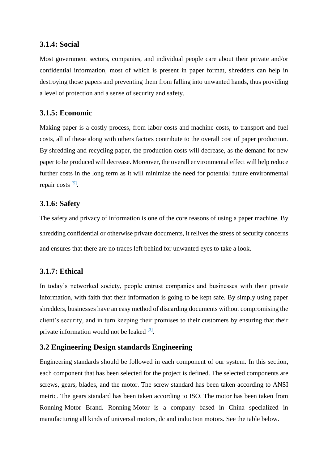#### <span id="page-18-0"></span>**3.1.4: Social**

Most government sectors, companies, and individual people care about their private and/or confidential information, most of which is present in paper format, shredders can help in destroying those papers and preventing them from falling into unwanted hands, thus providing a level of protection and a sense of security and safety.

#### <span id="page-18-1"></span>**3.1.5: Economic**

Making paper is a costly process, from labor costs and machine costs, to transport and fuel costs, all of these along with others factors contribute to the overall cost of paper production. By shredding and recycling paper, the production costs will decrease, as the demand for new paper to be produced will decrease. Moreover, the overall environmental effect will help reduce further costs in the long term as it will minimize the need for potential future environmental repair costs [5].

#### <span id="page-18-2"></span>**3.1.6: Safety**

The safety and privacy of information is one of the core reasons of using a paper machine. By shredding confidential or otherwise private documents, it relives the stress of security concerns and ensures that there are no traces left behind for unwanted eyes to take a look.

#### <span id="page-18-3"></span>**3.1.7: Ethical**

In today's networked society, people entrust companies and businesses with their private information, with faith that their information is going to be kept safe. By simply using paper shredders, businesses have an easy method of discarding documents without compromising the client's security, and in turn keeping their promises to their customers by ensuring that their private information would not be leaked [3].

#### <span id="page-18-4"></span>**3.2 Engineering Design standards Engineering**

Engineering standards should be followed in each component of our system. In this section, each component that has been selected for the project is defined. The selected components are screws, gears, blades, and the motor. The screw standard has been taken according to ANSI metric. The gears standard has been taken according to ISO. The motor has been taken from Ronning-Motor Brand. Ronning-Motor is a company based in China specialized in manufacturing all kinds of universal motors, dc and induction motors. See the table below.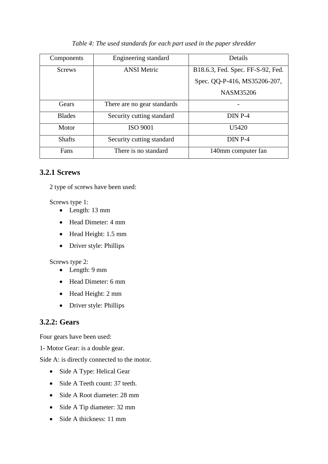| Components    | Engineering standard        | Details                           |
|---------------|-----------------------------|-----------------------------------|
| Screws        | <b>ANSI Metric</b>          | B18.6.3, Fed. Spec. FF-S-92, Fed. |
|               |                             | Spec. QQ-P-416, MS35206-207,      |
|               |                             | <b>NASM35206</b>                  |
| Gears         | There are no gear standards |                                   |
| <b>Blades</b> | Security cutting standard   | $DINP-4$                          |
| Motor         | <b>ISO 9001</b>             | U5420                             |
| <b>Shafts</b> | Security cutting standard   | $DINP-4$                          |
| Fans          | There is no standard        | 140mm computer fan                |

#### *Table 4: The used standards for each part used in the paper shredder*

#### <span id="page-19-0"></span>**3.2.1 Screws**

2 type of screws have been used:

Screws type 1:

- $\bullet$  Length: 13 mm
- Head Dimeter: 4 mm
- Head Height: 1.5 mm
- Driver style: Phillips

#### Screws type 2:

- Length: 9 mm
- Head Dimeter: 6 mm
- Head Height: 2 mm
- Driver style: Phillips

## <span id="page-19-1"></span>**3.2.2: Gears**

Four gears have been used:

1- Motor Gear: is a double gear.

Side A: is directly connected to the motor.

- Side A Type: Helical Gear
- Side A Teeth count: 37 teeth.
- Side A Root diameter: 28 mm
- Side A Tip diameter: 32 mm
- Side A thickness: 11 mm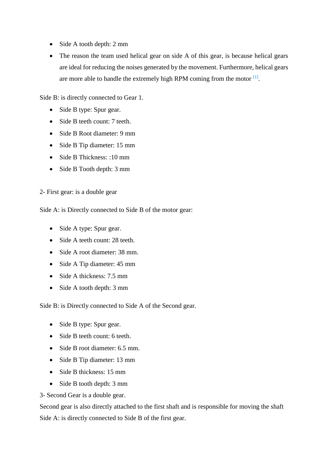- Side A tooth depth: 2 mm
- The reason the team used helical gear on side A of this gear, is because helical gears are ideal for reducing the noises generated by the movement. Furthermore, helical gears are more able to handle the extremely high RPM coming from the motor  $<sup>[1]</sup>$ .</sup>

Side B: is directly connected to Gear 1.

- Side B type: Spur gear.
- Side B teeth count: 7 teeth.
- Side B Root diameter: 9 mm
- Side B Tip diameter: 15 mm
- Side B Thickness: :10 mm
- Side B Tooth depth: 3 mm

2- First gear: is a double gear

Side A: is Directly connected to Side B of the motor gear:

- Side A type: Spur gear.
- Side A teeth count: 28 teeth.
- Side A root diameter: 38 mm.
- Side A Tip diameter: 45 mm
- $\bullet$  Side A thickness: 7.5 mm
- Side A tooth depth: 3 mm

Side B: is Directly connected to Side A of the Second gear.

- Side B type: Spur gear.
- Side B teeth count: 6 teeth.
- Side B root diameter: 6.5 mm.
- Side B Tip diameter: 13 mm
- Side B thickness: 15 mm
- Side B tooth depth: 3 mm
- 3- Second Gear is a double gear.

Second gear is also directly attached to the first shaft and is responsible for moving the shaft Side A: is directly connected to Side B of the first gear.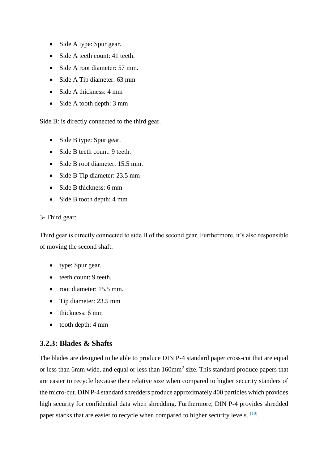- Side A type: Spur gear.
- Side A teeth count: 41 teeth.
- Side A root diameter: 57 mm.
- Side A Tip diameter: 63 mm
- Side A thickness: 4 mm
- Side A tooth depth: 3 mm

Side B: is directly connected to the third gear.

- Side B type: Spur gear.
- Side B teeth count: 9 teeth.
- Side B root diameter: 15.5 mm.
- Side B Tip diameter: 23.5 mm
- Side B thickness: 6 mm
- Side B tooth depth: 4 mm

#### 3- Third gear:

Third gear is directly connected to side B of the second gear. Furthermore, it's also responsible of moving the second shaft.

- type: Spur gear.
- teeth count: 9 teeth.
- root diameter: 15.5 mm.
- Tip diameter: 23.5 mm
- $\bullet$  thickness: 6 mm
- tooth depth: 4 mm

#### <span id="page-21-0"></span>**3.2.3: Blades & Shafts**

The blades are designed to be able to produce DIN P-4 standard paper cross-cut that are equal or less than 6mm wide, and equal or less than 160mm<sup>2</sup> size. This standard produce papers that are easier to recycle because their relative size when compared to higher security standers of the micro-cut. DIN P-4 standard shredders produce approximately 400 particles which provides high security for confidential data when shredding. Furthermore, DIN P-4 provides shredded paper stacks that are easier to recycle when compared to higher security levels. [10].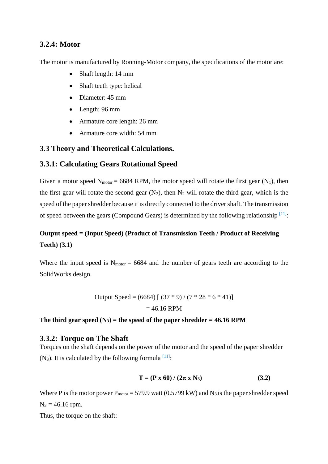#### <span id="page-22-0"></span>**3.2.4: Motor**

The motor is manufactured by Ronning-Motor company, the specifications of the motor are:

- Shaft length: 14 mm
- Shaft teeth type: helical
- Diameter: 45 mm
- Length: 96 mm
- Armature core length: 26 mm
- Armature core width: 54 mm

#### <span id="page-22-1"></span>**3.3 Theory and Theoretical Calculations.**

#### <span id="page-22-2"></span>**3.3.1: Calculating Gears Rotational Speed**

Given a motor speed  $N_{\text{motor}} = 6684$  RPM, the motor speed will rotate the first gear (N<sub>1</sub>), then the first gear will rotate the second gear  $(N_2)$ , then  $N_2$  will rotate the third gear, which is the speed of the paper shredder because it is directly connected to the driver shaft. The transmission of speed between the gears (Compound Gears) is determined by the following relationship [11]:

## **Output speed = (Input Speed) (Product of Transmission Teeth / Product of Receiving Teeth) (3.1)**

Where the input speed is  $N_{\text{motor}} = 6684$  and the number of gears teeth are according to the SolidWorks design.

> Output Speed = (6684)  $[(37 * 9) / (7 * 28 * 6 * 41)]$  $= 46.16$  RPM

The third gear speed  $(N_3)$  = the speed of the paper shredder = 46.16 RPM

#### <span id="page-22-3"></span>**3.3.2: Torque on The Shaft**

Torques on the shaft depends on the power of the motor and the speed of the paper shredder  $(N_3)$ . It is calculated by the following formula  $^{[11]}$ .

$$
T = (P \times 60) / (2\pi \times N_3)
$$
 (3.2)

Where P is the motor power  $P_{motor} = 579.9$  watt (0.5799 kW) and N<sub>3</sub> is the paper shredder speed  $N_3 = 46.16$  rpm.

Thus, the torque on the shaft: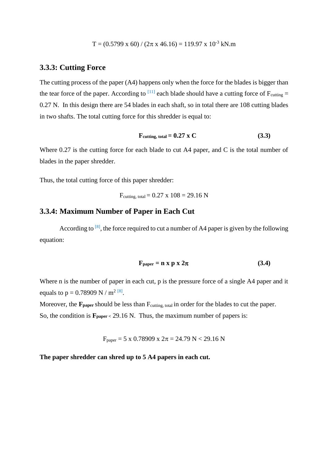$$
T = (0.5799 \times 60) / (2\pi \times 46.16) = 119.97 \times 10^{-3}
$$
 kN.m

#### <span id="page-23-0"></span>**3.3.3: Cutting Force**

The cutting process of the paper (A4) happens only when the force for the blades is bigger than the tear force of the paper. According to  $^{[11]}$  each blade should have a cutting force of  $F_{\text{cutting}} =$ 0.27 N. In this design there are 54 blades in each shaft, so in total there are 108 cutting blades in two shafts. The total cutting force for this shredder is equal to:

$$
F_{cutting, total} = 0.27 \times C \tag{3.3}
$$

Where 0.27 is the cutting force for each blade to cut A4 paper, and C is the total number of blades in the paper shredder.

Thus, the total cutting force of this paper shredder:

$$
F_{cutting, total} = 0.27 \times 108 = 29.16 \text{ N}
$$

#### <span id="page-23-1"></span>**3.3.4: Maximum Number of Paper in Each Cut**

According to  $[8]$ , the force required to cut a number of A4 paper is given by the following equation:

$$
F_{paper} = n \times p \times 2\pi \tag{3.4}
$$

Where n is the number of paper in each cut, p is the pressure force of a single A4 paper and it equals to  $p = 0.78909 \text{ N} / \text{m}^2$  [8].

Moreover, the **F**<sub>paper</sub> should be less than F<sub>cutting, total</sub> in order for the blades to cut the paper. So, the condition is **Fpaper <sup>&</sup>lt;** 29.16 N. Thus, the maximum number of papers is:

$$
F_{paper} = 5 \times 0.78909 \times 2\pi = 24.79 \text{ N} < 29.16 \text{ N}
$$

**The paper shredder can shred up to 5 A4 papers in each cut.**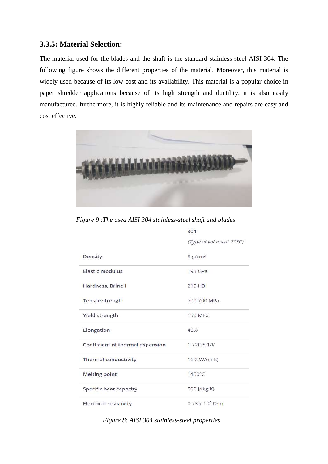#### **3.3.5: Material Selection:**

The material used for the blades and the shaft is the standard stainless steel AISI 304. The following figure shows the different properties of the material. Moreover, this material is widely used because of its low cost and its availability. This material is a popular choice in paper shredder applications because of its high strength and ductility, it is also easily manufactured, furthermore, it is highly reliable and its maintenance and repairs are easy and cost effective.



*Figure 9 :The used AISI 304 stainless-steel shaft and blades*

|                                  | 304                      |
|----------------------------------|--------------------------|
|                                  | (Typical values at 20°C) |
| Density                          | 8 g/cm <sup>3</sup>      |
| Elastic modulus                  | 193 GPa                  |
| Hardness, Brinell                | 215 HB                   |
| Tensile strength                 | 500-700 MPa              |
| Yield strength                   | 190 MPa                  |
| Elongation                       | 40%                      |
| Coefficient of thermal expansion | 1.72E-5 1/K              |
| <b>Thermal conductivity</b>      | 16.2 W/(m·K)             |
| <b>Melting point</b>             | 1450°C                   |
| Specific heat capacity           | 500 J/(kg·K)             |
| <b>Electrical resistivity</b>    | $0.73 \times 10^6$ O·m   |

*Figure 8: AISI 304 stainless-steel properties*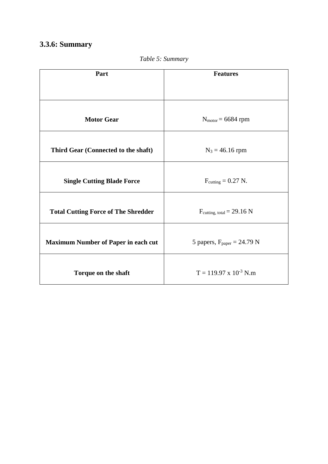## **3.3.6: Summary**

| Part                                       | <b>Features</b>                 |
|--------------------------------------------|---------------------------------|
|                                            |                                 |
|                                            |                                 |
|                                            |                                 |
| <b>Motor Gear</b>                          | $N_{motor} = 6684$ rpm          |
|                                            |                                 |
| Third Gear (Connected to the shaft)        | $N_3 = 46.16$ rpm               |
|                                            |                                 |
|                                            |                                 |
| <b>Single Cutting Blade Force</b>          | $F_{\text{cutting}} = 0.27$ N.  |
|                                            |                                 |
| <b>Total Cutting Force of The Shredder</b> | $F_{cutting, total} = 29.16 N$  |
|                                            |                                 |
|                                            |                                 |
| <b>Maximum Number of Paper in each cut</b> | 5 papers, $F_{paper} = 24.79$ N |
|                                            |                                 |
| Torque on the shaft                        | $T = 119.97 \times 10^{-3}$ N.m |
|                                            |                                 |

*Table 5: Summary*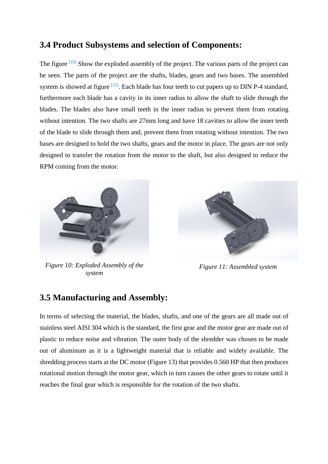## **3.4 Product Subsystems and selection of Components:**

The figure <sup>[10]</sup> Show the exploded assembly of the project. The various parts of the project can be seen. The parts of the project are the shafts, blades, gears and two bases. The assembled system is showed at figure <sup>[12]</sup>. Each blade has four teeth to cut papers up to DIN P-4 standard, furthermore each blade has a cavity in its inner radius to allow the shaft to slide through the blades. The blades also have small teeth in the inner radius to prevent them from rotating without intention. The two shafts are 27mm long and have 18 cavities to allow the inner teeth of the blade to slide through them and, prevent them from rotating without intention. The two bases are designed to hold the two shafts, gears and the motor in place. The gears are not only designed to transfer the rotation from the motor to the shaft, but also designed to reduce the RPM coming from the motor.



*Figure 10: Exploded Assembly of the system*



*Figure 11: Assembled system*

## **3.5 Manufacturing and Assembly:**

In terms of selecting the material, the blades, shafts, and one of the gears are all made out of stainless steel AISI 304 which is the standard, the first gear and the motor gear are made out of plastic to reduce noise and vibration. The outer body of the shredder was chosen to be made out of aluminum as it is a lightweight material that is reliable and widely available. The shredding process starts at the DC motor (Figure 13) that provides 0.560 HP that then produces rotational motion through the motor gear, which in turn causes the other gears to rotate until it reaches the final gear which is responsible for the rotation of the two shafts.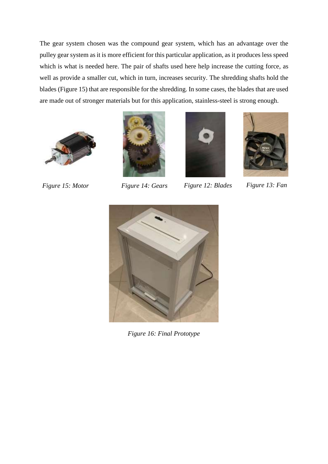The gear system chosen was the compound gear system, which has an advantage over the pulley gear system as it is more efficient for this particular application, as it produces less speed which is what is needed here. The pair of shafts used here help increase the cutting force, as well as provide a smaller cut, which in turn, increases security. The shredding shafts hold the blades (Figure 15) that are responsible for the shredding. In some cases, the blades that are used are made out of stronger materials but for this application, stainless-steel is strong enough.







*Figure 15: Motor Figure 14: Gears Figure 12: Blades Figure 13: Fan*





*Figure 16: Final Prototype*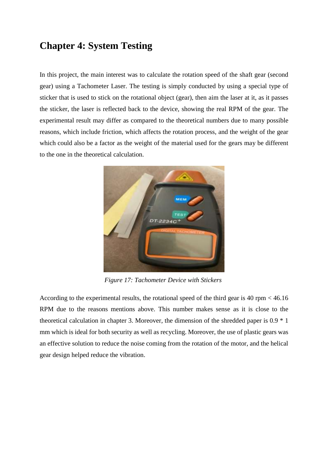## <span id="page-28-0"></span>**Chapter 4: System Testing**

In this project, the main interest was to calculate the rotation speed of the shaft gear (second gear) using a Tachometer Laser. The testing is simply conducted by using a special type of sticker that is used to stick on the rotational object (gear), then aim the laser at it, as it passes the sticker, the laser is reflected back to the device, showing the real RPM of the gear. The experimental result may differ as compared to the theoretical numbers due to many possible reasons, which include friction, which affects the rotation process, and the weight of the gear which could also be a factor as the weight of the material used for the gears may be different to the one in the theoretical calculation.



*Figure 17: Tachometer Device with Stickers*

According to the experimental results, the rotational speed of the third gear is 40 rpm < 46.16 RPM due to the reasons mentions above. This number makes sense as it is close to the theoretical calculation in chapter 3. Moreover, the dimension of the shredded paper is 0.9 \* 1 mm which is ideal for both security as well as recycling. Moreover, the use of plastic gears was an effective solution to reduce the noise coming from the rotation of the motor, and the helical gear design helped reduce the vibration.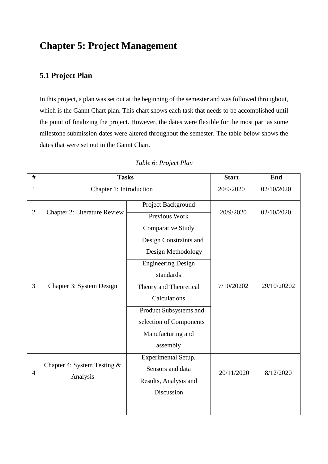## <span id="page-29-0"></span>**Chapter 5: Project Management**

## <span id="page-29-1"></span>**5.1 Project Plan**

In this project, a plan was set out at the beginning of the semester and was followed throughout, which is the Gannt Chart plan. This chart shows each task that needs to be accomplished until the point of finalizing the project. However, the dates were flexible for the most part as some milestone submission dates were altered throughout the semester. The table below shows the dates that were set out in the Gannt Chart.

| #              | <b>Tasks</b>                        |                           | <b>Start</b> | End         |
|----------------|-------------------------------------|---------------------------|--------------|-------------|
| $\mathbf{1}$   | Chapter 1: Introduction             |                           | 20/9/2020    | 02/10/2020  |
|                |                                     | Project Background        |              |             |
| $\overline{2}$ | <b>Chapter 2: Literature Review</b> | Previous Work             | 20/9/2020    | 02/10/2020  |
|                |                                     | <b>Comparative Study</b>  |              |             |
|                |                                     | Design Constraints and    |              |             |
|                |                                     | Design Methodology        |              |             |
|                |                                     | <b>Engineering Design</b> |              |             |
|                |                                     | standards                 |              |             |
| 3              | Chapter 3: System Design            | Theory and Theoretical    | 7/10/20202   | 29/10/20202 |
|                |                                     | Calculations              |              |             |
|                |                                     | Product Subsystems and    |              |             |
|                |                                     | selection of Components   |              |             |
|                |                                     | Manufacturing and         |              |             |
|                |                                     | assembly                  |              |             |
|                |                                     | Experimental Setup,       |              |             |
| $\overline{4}$ | Chapter 4: System Testing &         | Sensors and data          | 20/11/2020   | 8/12/2020   |
|                | Analysis                            | Results, Analysis and     |              |             |
|                |                                     | Discussion                |              |             |
|                |                                     |                           |              |             |
|                |                                     |                           |              |             |

#### *Table 6: Project Plan*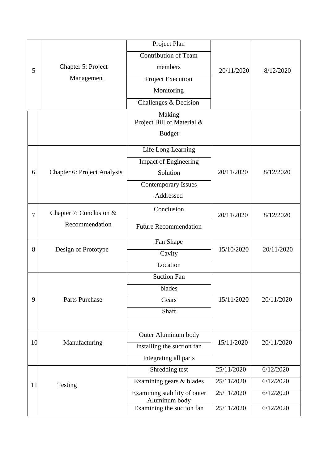|                |                             | Project Plan                                  |            |            |
|----------------|-----------------------------|-----------------------------------------------|------------|------------|
| 5              | Chapter 5: Project          | <b>Contribution of Team</b>                   |            | 8/12/2020  |
|                |                             | members                                       | 20/11/2020 |            |
|                | Management                  | Project Execution                             |            |            |
|                |                             | Monitoring                                    |            |            |
|                |                             | Challenges & Decision                         |            |            |
|                |                             | Making<br>Project Bill of Material &          |            |            |
|                |                             | <b>Budget</b>                                 |            |            |
|                |                             | Life Long Learning                            |            |            |
|                |                             | <b>Impact of Engineering</b>                  |            |            |
| 6              | Chapter 6: Project Analysis | Solution                                      | 20/11/2020 | 8/12/2020  |
|                |                             | Contemporary Issues                           |            |            |
|                |                             | Addressed                                     |            |            |
| $\overline{7}$ | Chapter 7: Conclusion &     | Conclusion                                    | 20/11/2020 | 8/12/2020  |
|                | Recommendation              | <b>Future Recommendation</b>                  |            |            |
|                |                             | Fan Shape                                     |            |            |
| 8              | Design of Prototype         | Cavity                                        | 15/10/2020 | 20/11/2020 |
|                |                             | Location                                      |            |            |
|                |                             | <b>Suction Fan</b>                            |            |            |
|                |                             | blades                                        |            |            |
| 9              | Parts Purchase              | Gears                                         | 15/11/2020 | 20/11/2020 |
|                |                             | Shaft                                         |            |            |
|                |                             |                                               |            |            |
| 10             | Manufacturing               | Outer Aluminum body                           | 15/11/2020 | 20/11/2020 |
|                |                             | Installing the suction fan                    |            |            |
|                |                             | Integrating all parts                         |            |            |
|                |                             | Shredding test                                | 25/11/2020 | 6/12/2020  |
| 11             | Testing                     | Examining gears & blades                      | 25/11/2020 | 6/12/2020  |
|                |                             | Examining stability of outer<br>Aluminum body | 25/11/2020 | 6/12/2020  |
|                |                             | Examining the suction fan                     | 25/11/2020 | 6/12/2020  |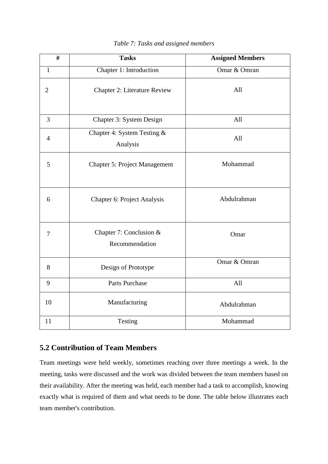| #              | <b>Tasks</b><br><b>Assigned Members</b>          |              |
|----------------|--------------------------------------------------|--------------|
| $\mathbf{1}$   | Chapter 1: Introduction                          | Omar & Omran |
| $\overline{2}$ | <b>Chapter 2: Literature Review</b>              | All          |
| $\overline{3}$ | Chapter 3: System Design                         | All          |
| $\overline{4}$ | Chapter 4: System Testing &<br>Analysis          | All          |
| 5              | Mohammad<br><b>Chapter 5: Project Management</b> |              |
| 6              | Chapter 6: Project Analysis                      | Abdulrahman  |
| $\overline{7}$ | Chapter 7: Conclusion $&$<br>Recommendation      | Omar         |
| 8              | Omar & Omran<br>Design of Prototype              |              |
| 9              | <b>Parts Purchase</b><br>All                     |              |
| 10             | Manufacturing<br>Abdulrahman                     |              |
| 11             | Mohammad<br>Testing                              |              |

#### *Table 7: Tasks and assigned members*

## <span id="page-31-0"></span>**5.2 Contribution of Team Members**

Team meetings were held weekly, sometimes reaching over three meetings a week. In the meeting, tasks were discussed and the work was divided between the team members based on their availability. After the meeting was held, each member had a task to accomplish, knowing exactly what is required of them and what needs to be done. The table below illustrates each team member's contribution.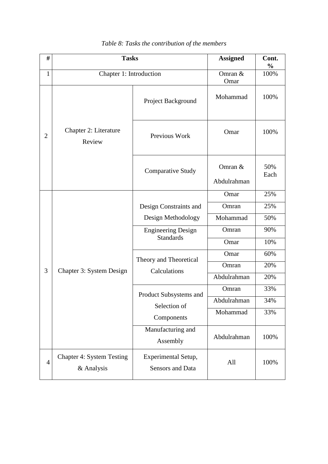| #              | <b>Tasks</b>                                   |                                         | <b>Assigned</b>        | Cont.<br>$\frac{0}{0}$ |
|----------------|------------------------------------------------|-----------------------------------------|------------------------|------------------------|
| $\mathbf{1}$   | Chapter 1: Introduction                        |                                         | Omran &<br>Omar        | 100%                   |
|                |                                                | Project Background                      | Mohammad               | 100%                   |
| $\overline{2}$ | Chapter 2: Literature<br>Review                | Previous Work                           | Omar                   | 100%                   |
|                |                                                | <b>Comparative Study</b>                | Omran &<br>Abdulrahman | 50%<br>Each            |
|                |                                                |                                         | Omar                   | 25%                    |
|                |                                                | Design Constraints and                  | Omran                  | 25%                    |
|                |                                                | Design Methodology                      | Mohammad               | 50%                    |
|                |                                                | <b>Engineering Design</b>               | Omran                  | 90%                    |
|                |                                                | <b>Standards</b>                        | Omar                   | 10%                    |
|                |                                                |                                         | Omar                   | 60%                    |
| 3              | Chapter 3: System Design                       | Theory and Theoretical<br>Calculations  | Omran                  | 20%                    |
|                |                                                |                                         | Abdulrahman            | 20%                    |
|                |                                                | Product Subsystems and                  | Omran                  | 33%                    |
|                |                                                | Selection of                            | Abdulrahman            | 34%                    |
|                |                                                | Components                              | Mohammad               | 33%                    |
|                |                                                | Manufacturing and<br>Assembly           | Abdulrahman            | 100%                   |
| $\overline{4}$ | <b>Chapter 4: System Testing</b><br>& Analysis | Experimental Setup,<br>Sensors and Data | All                    | 100%                   |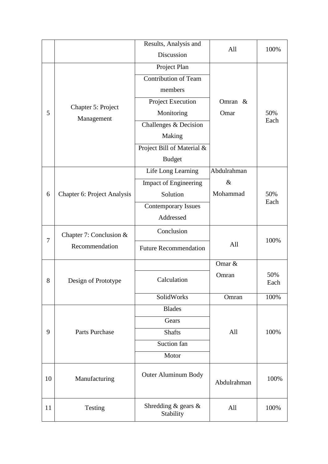|                            |                                  | Results, Analysis and                  | All         | 100%        |
|----------------------------|----------------------------------|----------------------------------------|-------------|-------------|
|                            |                                  | Discussion                             |             |             |
|                            |                                  | Project Plan                           |             |             |
|                            |                                  | <b>Contribution of Team</b>            |             |             |
|                            |                                  | members                                |             |             |
|                            |                                  | Project Execution                      | Omran $\&$  |             |
| 5                          | Chapter 5: Project<br>Management | Monitoring                             | Omar        | 50%         |
|                            |                                  | Challenges & Decision                  |             | Each        |
|                            |                                  | Making                                 |             |             |
|                            |                                  | Project Bill of Material &             |             |             |
|                            |                                  | <b>Budget</b>                          |             |             |
|                            |                                  | Life Long Learning                     | Abdulrahman |             |
|                            |                                  | Impact of Engineering                  | $\&$        |             |
| 6                          | Chapter 6: Project Analysis      | Solution                               | Mohammad    | 50%         |
|                            |                                  | Contemporary Issues                    |             | Each        |
|                            |                                  | Addressed                              |             |             |
|                            | Chapter 7: Conclusion &          | Conclusion                             |             |             |
| 7                          | Recommendation                   | <b>Future Recommendation</b>           | All         | 100%        |
|                            |                                  |                                        | Omar &      |             |
| 8                          | Design of Prototype              | Calculation                            | Omran       | 50%<br>Each |
|                            |                                  | SolidWorks                             | Omran       | 100%        |
|                            |                                  | <b>Blades</b>                          |             |             |
|                            |                                  | Gears                                  |             |             |
| <b>Parts Purchase</b><br>9 |                                  | <b>Shafts</b>                          | All         | 100%        |
|                            |                                  | Suction fan                            |             |             |
|                            |                                  | Motor                                  |             |             |
| 10                         | Manufacturing                    | <b>Outer Aluminum Body</b>             | Abdulrahman | 100%        |
| 11                         | Testing                          | Shredding $\&$ gears $\&$<br>Stability | All         | 100%        |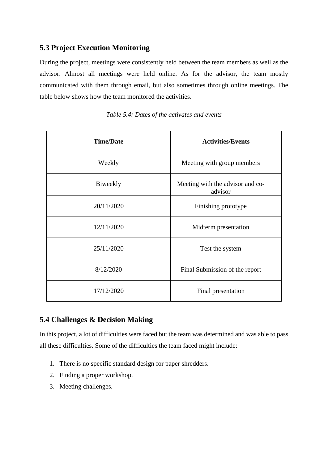## <span id="page-34-0"></span>**5.3 Project Execution Monitoring**

During the project, meetings were consistently held between the team members as well as the advisor. Almost all meetings were held online. As for the advisor, the team mostly communicated with them through email, but also sometimes through online meetings. The table below shows how the team monitored the activities.

| <b>Time/Date</b> | <b>Activities/Events</b>                    |
|------------------|---------------------------------------------|
| Weekly           | Meeting with group members                  |
| Biweekly         | Meeting with the advisor and co-<br>advisor |
| 20/11/2020       | Finishing prototype                         |
| 12/11/2020       | Midterm presentation                        |
| 25/11/2020       | Test the system                             |
| 8/12/2020        | Final Submission of the report              |
| 17/12/2020       | Final presentation                          |

*Table 5.4: Dates of the activates and events*

## <span id="page-34-1"></span>**5.4 Challenges & Decision Making**

In this project, a lot of difficulties were faced but the team was determined and was able to pass all these difficulties. Some of the difficulties the team faced might include:

- 1. There is no specific standard design for paper shredders.
- 2. Finding a proper workshop.
- 3. Meeting challenges.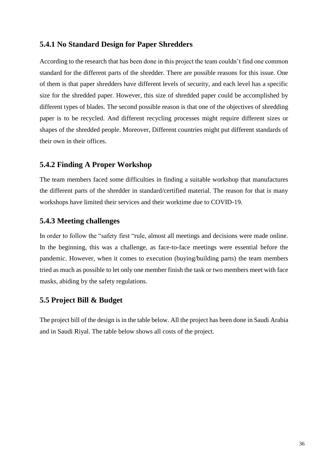### <span id="page-35-0"></span>**5.4.1 No Standard Design for Paper Shredders**

According to the research that has been done in this project the team couldn't find one common standard for the different parts of the shredder. There are possible reasons for this issue. One of them is that paper shredders have different levels of security, and each level has a specific size for the shredded paper. However, this size of shredded paper could be accomplished by different types of blades. The second possible reason is that one of the objectives of shredding paper is to be recycled. And different recycling processes might require different sizes or shapes of the shredded people. Moreover, Different countries might put different standards of their own in their offices.

### <span id="page-35-1"></span>**5.4.2 Finding A Proper Workshop**

The team members faced some difficulties in finding a suitable workshop that manufactures the different parts of the shredder in standard/certified material. The reason for that is many workshops have limited their services and their worktime due to COVID-19.

### <span id="page-35-2"></span>**5.4.3 Meeting challenges**

In order to follow the "safety first "rule, almost all meetings and decisions were made online. In the beginning, this was a challenge, as face-to-face meetings were essential before the pandemic. However, when it comes to execution (buying/building parts) the team members tried as much as possible to let only one member finish the task or two members meet with face masks, abiding by the safety regulations.

## <span id="page-35-3"></span>**5.5 Project Bill & Budget**

The project bill of the design is in the table below. All the project has been done in Saudi Arabia and in Saudi Riyal. The table below shows all costs of the project.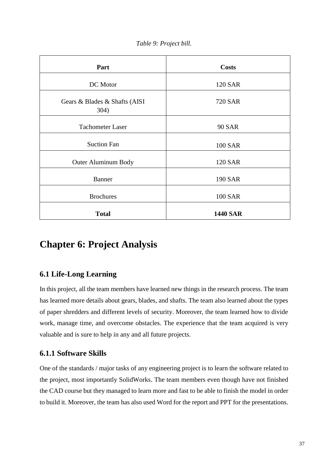| Part                                   | <b>Costs</b>    |
|----------------------------------------|-----------------|
| DC Motor                               | <b>120 SAR</b>  |
| Gears & Blades & Shafts (AISI)<br>304) | <b>720 SAR</b>  |
| <b>Tachometer Laser</b>                | <b>90 SAR</b>   |
| <b>Suction Fan</b>                     | <b>100 SAR</b>  |
| <b>Outer Aluminum Body</b>             | <b>120 SAR</b>  |
| <b>Banner</b>                          | <b>190 SAR</b>  |
| <b>Brochures</b>                       | <b>100 SAR</b>  |
| <b>Total</b>                           | <b>1440 SAR</b> |

*Table 9: Project bill.*

## <span id="page-36-0"></span>**Chapter 6: Project Analysis**

## <span id="page-36-1"></span>**6.1 Life-Long Learning**

In this project, all the team members have learned new things in the research process. The team has learned more details about gears, blades, and shafts. The team also learned about the types of paper shredders and different levels of security. Moreover, the team learned how to divide work, manage time, and overcome obstacles. The experience that the team acquired is very valuable and is sure to help in any and all future projects.

#### <span id="page-36-2"></span>**6.1.1 Software Skills**

One of the standards / major tasks of any engineering project is to learn the software related to the project, most importantly SolidWorks. The team members even though have not finished the CAD course but they managed to learn more and fast to be able to finish the model in order to build it. Moreover, the team has also used Word for the report and PPT for the presentations.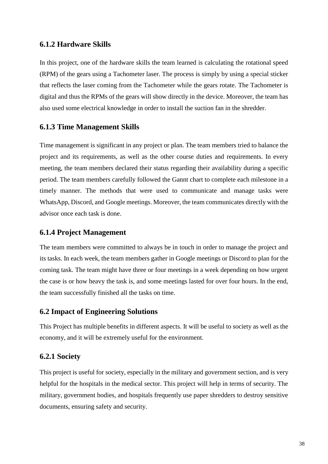#### <span id="page-37-0"></span>**6.1.2 Hardware Skills**

In this project, one of the hardware skills the team learned is calculating the rotational speed (RPM) of the gears using a Tachometer laser. The process is simply by using a special sticker that reflects the laser coming from the Tachometer while the gears rotate. The Tachometer is digital and thus the RPMs of the gears will show directly in the device. Moreover, the team has also used some electrical knowledge in order to install the suction fan in the shredder.

#### <span id="page-37-1"></span>**6.1.3 Time Management Skills**

Time management is significant in any project or plan. The team members tried to balance the project and its requirements, as well as the other course duties and requirements. In every meeting, the team members declared their status regarding their availability during a specific period. The team members carefully followed the Gannt chart to complete each milestone in a timely manner. The methods that were used to communicate and manage tasks were WhatsApp, Discord, and Google meetings. Moreover, the team communicates directly with the advisor once each task is done.

#### <span id="page-37-2"></span>**6.1.4 Project Management**

The team members were committed to always be in touch in order to manage the project and its tasks. In each week, the team members gather in Google meetings or Discord to plan for the coming task. The team might have three or four meetings in a week depending on how urgent the case is or how heavy the task is, and some meetings lasted for over four hours. In the end, the team successfully finished all the tasks on time.

#### <span id="page-37-3"></span>**6.2 Impact of Engineering Solutions**

This Project has multiple benefits in different aspects. It will be useful to society as well as the economy, and it will be extremely useful for the environment.

#### <span id="page-37-4"></span>**6.2.1 Society**

This project is useful for society, especially in the military and government section, and is very helpful for the hospitals in the medical sector. This project will help in terms of security. The military, government bodies, and hospitals frequently use paper shredders to destroy sensitive documents, ensuring safety and security.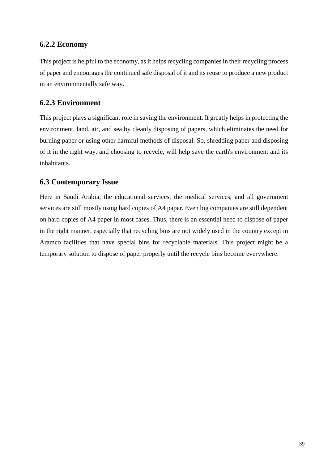### <span id="page-38-0"></span>**6.2.2 Economy**

This project is helpful to the economy, as it helps recycling companies in their recycling process of paper and encourages the continued safe disposal of it and its reuse to produce a new product in an environmentally safe way.

### <span id="page-38-1"></span>**6.2.3 Environment**

This project plays a significant role in saving the environment. It greatly helps in protecting the environment, land, air, and sea by cleanly disposing of papers, which eliminates the need for burning paper or using other harmful methods of disposal. So, shredding paper and disposing of it in the right way, and choosing to recycle, will help save the earth's environment and its inhabitants.

## <span id="page-38-2"></span>**6.3 Contemporary Issue**

Here in Saudi Arabia, the educational services, the medical services, and all government services are still mostly using hard copies of A4 paper. Even big companies are still dependent on hard copies of A4 paper in most cases. Thus, there is an essential need to dispose of paper in the right manner, especially that recycling bins are not widely used in the country except in Aramco facilities that have special bins for recyclable materials. This project might be a temporary solution to dispose of paper properly until the recycle bins become everywhere.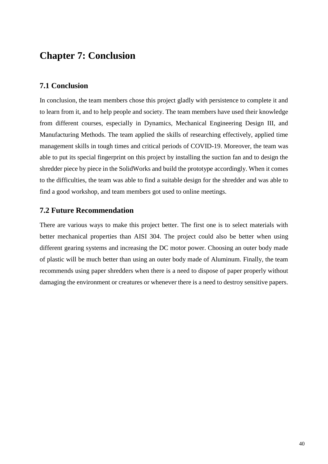## <span id="page-39-0"></span>**Chapter 7: Conclusion**

#### <span id="page-39-1"></span>**7.1 Conclusion**

In conclusion, the team members chose this project gladly with persistence to complete it and to learn from it, and to help people and society. The team members have used their knowledge from different courses, especially in Dynamics, Mechanical Engineering Design III, and Manufacturing Methods. The team applied the skills of researching effectively, applied time management skills in tough times and critical periods of COVID-19. Moreover, the team was able to put its special fingerprint on this project by installing the suction fan and to design the shredder piece by piece in the SolidWorks and build the prototype accordingly. When it comes to the difficulties, the team was able to find a suitable design for the shredder and was able to find a good workshop, and team members got used to online meetings.

### <span id="page-39-2"></span>**7.2 Future Recommendation**

There are various ways to make this project better. The first one is to select materials with better mechanical properties than AISI 304. The project could also be better when using different gearing systems and increasing the DC motor power. Choosing an outer body made of plastic will be much better than using an outer body made of Aluminum. Finally, the team recommends using paper shredders when there is a need to dispose of paper properly without damaging the environment or creatures or whenever there is a need to destroy sensitive papers.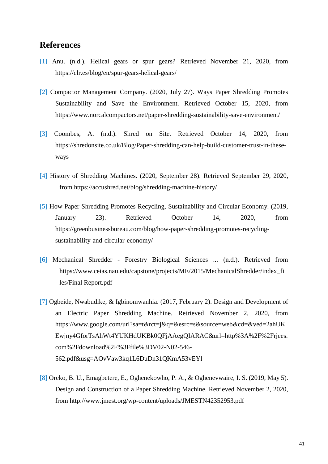## <span id="page-40-0"></span>**References**

- [1] Anu. (n.d.). Helical gears or spur gears? Retrieved November 21, 2020, from https://clr.es/blog/en/spur-gears-helical-gears/
- [2] Compactor Management Company. (2020, July 27). Ways Paper Shredding Promotes Sustainability and Save the Environment. Retrieved October 15, 2020, from https://www.norcalcompactors.net/paper-shredding-sustainability-save-environment/
- [3] Coombes, A. (n.d.). Shred on Site. Retrieved October 14, 2020, from https://shredonsite.co.uk/Blog/Paper-shredding-can-help-build-customer-trust-in-theseways
- [4] History of Shredding Machines. (2020, September 28). Retrieved September 29, 2020, from <https://accushred.net/blog/shredding-machine-history/>
- [5] How Paper Shredding Promotes Recycling, Sustainability and Circular Economy. (2019, January 23). Retrieved October 14, 2020, from https://greenbusinessbureau.com/blog/how-paper-shredding-promotes-recyclingsustainability-and-circular-economy/
- [6] Mechanical Shredder Forestry Biological Sciences ... (n.d.). Retrieved from [https://www.ceias.nau.edu/capstone/projects/ME/2015/MechanicalShredder/index\\_fi](https://www.ceias.nau.edu/capstone/projects/ME/2015/MechanicalShredder/index_files/Final%20Report.pdf) [les/Final Report.pdf](https://www.ceias.nau.edu/capstone/projects/ME/2015/MechanicalShredder/index_files/Final%20Report.pdf)
- [7] Ogbeide, Nwabudike, & Igbinomwanhia. (2017, February 2). Design and Development of an Electric Paper Shredding Machine. Retrieved November 2, 2020, from https://www.google.com/url?sa=t&rct=j&q=&esrc=s&source=web&cd=&ved=2ahUK Ewjny4GforTsAhWt4YUKHdUKBk0QFjAAegQIARAC&url=http%3A%2F%2Frjees. com%2Fdownload%2F%3Ffile%3DV02-N02-546- 562.pdf&usg=AOvVaw3kq1L6DuDn31QKmA53vEYl
- [8] Oreko, B. U., Emagbetere, E., Oghenekowho, P. A., & Oghenevwaire, I. S. (2019, May 5). Design and Construction of a Paper Shredding Machine. Retrieved November 2, 2020, from http://www.jmest.org/wp-content/uploads/JMESTN42352953.pdf